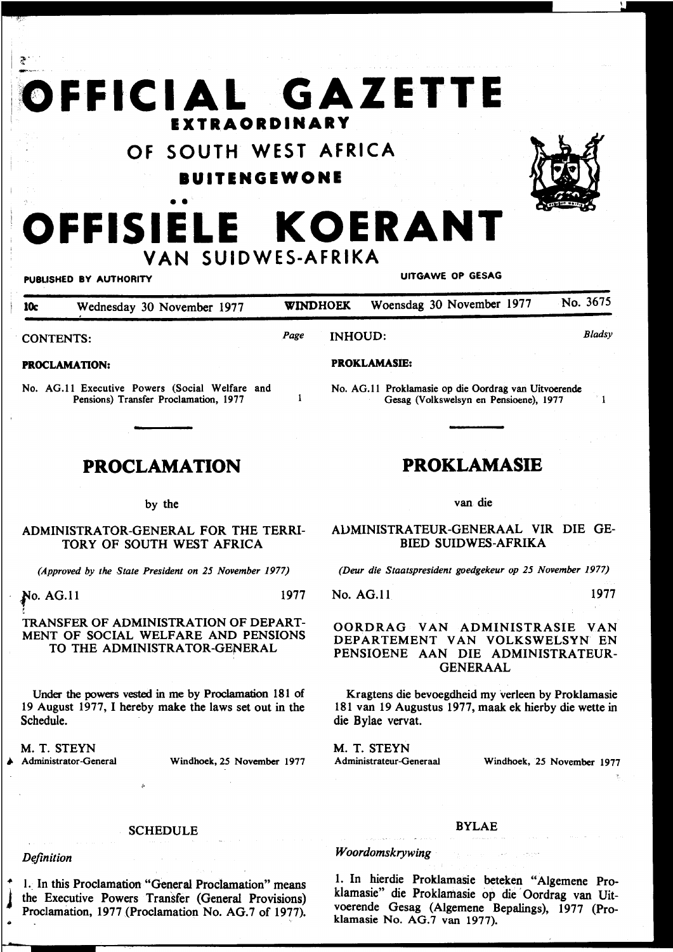# $\bullet$  . **OFFICIAL GAZETTE EXTRAORDINARY**

**OF SOUTH WEST AFRICA** 

**IUITENGEWONE** 



# • • **OFFISIELE KOERANT VAN SUIDWES-AFRIKA**

### PUBLISHED BY AUTHORITY **EXECUTE A SECURE 1999 IN THE UITGAWE OP GESAG**

| ? .<sup>.</sup>

10c Wednesday 30 November 1977 WINDHOEK Woensdag 30 November 1977 No. 3675 *Bladsy Page*  INHOUD: CONTENTS: PROKLAMASIE: PROCLAMATION: No. AG.ll Executive Powers (Social Welfare and No. AG.ll Proklamasie op die Oordrag van Uitvoerende Pensions) Transfer Proclamation, 1977 Gesag (Volkswelsyn en Pensioene), 1977  $^{\circ}$  1

## **PROCLAMATION**

#### by the

#### ADMINISTRATOR-GENERAL FOR THE TERRI-TORY OF SOUTH WEST AFRICA

*(Approved by the State President on 25 November 1977)* 

**No. AG.**11 1977

#### t TRANSFER OF ADMINISTRATION OF DEPART-MENT OF SOCIAL WELFARE AND PENSIONS TO THE ADMINISTRATOR-GENERAL

Under the powers vested in me by Proclamation 181 of 19 August 1977, I hereby make the laws set out in the Schedule.

M. T. STEYN

#### **SCHEDULE**

*Definition* 

1. In this Proclamation "General Proclamation" means the Executive Powers Transfer (General Provisions) Proclamation, 1977 (Proclamation No. AG.7 of 1977).

**PROKLAMASIE** 

van die

AUMINISTRATEUR-GENERAAL VIR DIE GE-BIED SUIDWES-AFRIKA

*(Deur die Staatspresident goedgekeur op 25 November 1977)* 

No. AG.ll 1977

#### OORDRAG VAN ADMINISTRASIE VAN DEPARTEMENT VAN VOLKSWELSYN EN PENSIOENE AAN DIE ADMINISTRATEUR-GENERAAL

Kragtens die bevoegdheid my verleen by Proklamasie 181 van 19 Augustus 1977, maak ek hierby die wette in die Bylae vervat.

M. T. STEYN **.**<br>★ Administrator-General Windhoek, 25 November 1977 Administrateur-Generaal Windhoek, 25 November 1977

#### BYLAE

### *Woordomskrywing*

1. In hierdie Proklamasie beteken "Algemene Proklamasie" die Proklamasie op die Oordrag van Uitvoerende Gesag (Algemene Bepalings), 1977 (Proklamasie No. AG.7 van 1977).